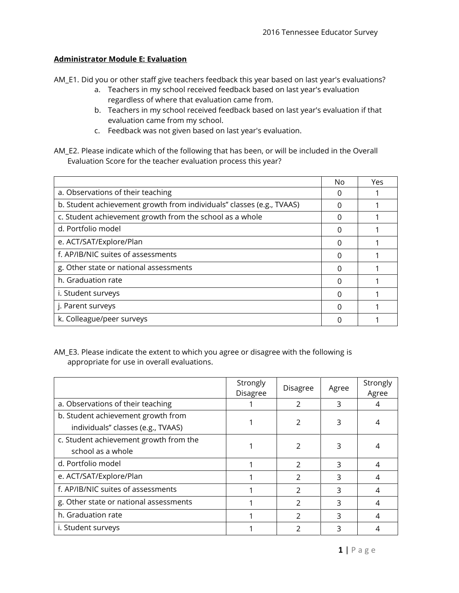## **Administrator Module E: Evaluation**

AM\_E1. Did you or other staff give teachers feedback this year based on last year's evaluations?

- a. Teachers in my school received feedback based on last year's evaluation regardless of where that evaluation came from.
- b. Teachers in my school received feedback based on last year's evaluation if that evaluation came from my school.
- c. Feedback was not given based on last year's evaluation.
- AM\_E2. Please indicate which of the following that has been, or will be included in the Overall Evaluation Score for the teacher evaluation process this year?

|                                                                       | No | Yes |
|-----------------------------------------------------------------------|----|-----|
| a. Observations of their teaching                                     |    |     |
| b. Student achievement growth from individuals" classes (e.g., TVAAS) |    |     |
| c. Student achievement growth from the school as a whole              |    |     |
| d. Portfolio model                                                    | O  |     |
| e. ACT/SAT/Explore/Plan                                               | O  |     |
| f. AP/IB/NIC suites of assessments                                    | N  |     |
| g. Other state or national assessments                                | O  |     |
| h. Graduation rate                                                    | O  |     |
| i. Student surveys                                                    | U  |     |
| j. Parent surveys                                                     | U  |     |
| k. Colleague/peer surveys                                             |    |     |

AM\_E3. Please indicate the extent to which you agree or disagree with the following is appropriate for use in overall evaluations.

|                                        | Strongly<br><b>Disagree</b> | <b>Disagree</b> | Agree | Strongly<br>Agree |
|----------------------------------------|-----------------------------|-----------------|-------|-------------------|
| a. Observations of their teaching      |                             | $\mathcal{P}$   | 3     |                   |
| b. Student achievement growth from     |                             | 2               | 3     |                   |
| individuals" classes (e.g., TVAAS)     |                             |                 |       |                   |
| c. Student achievement growth from the |                             |                 | 3     |                   |
| school as a whole                      |                             |                 |       |                   |
| d. Portfolio model                     |                             | $\mathcal{P}$   | 3     | 4                 |
| e. ACT/SAT/Explore/Plan                |                             | $\mathcal{P}$   | 3     | 4                 |
| f. AP/IB/NIC suites of assessments     |                             | $\mathcal{P}$   | ς     | 4                 |
| g. Other state or national assessments |                             | $\mathcal{P}$   | 3     | 4                 |
| h. Graduation rate                     |                             | $\mathcal{P}$   | 3     | 4                 |
| i. Student surveys                     |                             |                 |       |                   |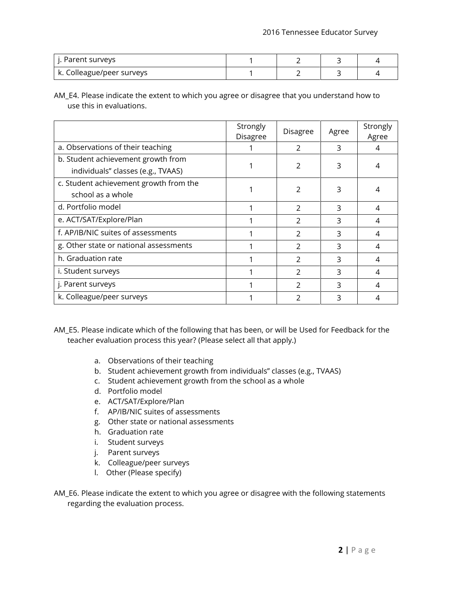| Parent surveys            |  |  |
|---------------------------|--|--|
| k. Colleague/peer surveys |  |  |

AM\_E4. Please indicate the extent to which you agree or disagree that you understand how to use this in evaluations.

|                                        | Strongly<br><b>Disagree</b> | <b>Disagree</b> | Agree | Strongly<br>Agree |
|----------------------------------------|-----------------------------|-----------------|-------|-------------------|
| a. Observations of their teaching      |                             | $\mathcal{P}$   | 3     | 4                 |
| b. Student achievement growth from     |                             | $\mathcal{P}$   | 3     | 4                 |
| individuals" classes (e.g., TVAAS)     |                             |                 |       |                   |
| c. Student achievement growth from the |                             |                 | 3     |                   |
| school as a whole                      |                             | 2               |       | 4                 |
| d. Portfolio model                     |                             | $\mathcal{P}$   | 3     | 4                 |
| e. ACT/SAT/Explore/Plan                |                             | $\mathcal{P}$   | ς     | 4                 |
| f. AP/IB/NIC suites of assessments     |                             | $\mathcal{P}$   | 3     | 4                 |
| g. Other state or national assessments |                             | $\mathcal{P}$   | ς     | 4                 |
| h. Graduation rate                     |                             | $\mathcal{P}$   | 3     | 4                 |
| i. Student surveys                     |                             | $\mathcal{P}$   | 3     | 4                 |
| j. Parent surveys                      |                             | $\mathcal{P}$   | 3     | 4                 |
| k. Colleague/peer surveys              |                             | 2               | 3     | 4                 |

AM\_E5. Please indicate which of the following that has been, or will be Used for Feedback for the teacher evaluation process this year? (Please select all that apply.)

- a. Observations of their teaching
- b. Student achievement growth from individuals'' classes (e.g., TVAAS)
- c. Student achievement growth from the school as a whole
- d. Portfolio model
- e. ACT/SAT/Explore/Plan
- f. AP/IB/NIC suites of assessments
- g. Other state or national assessments
- h. Graduation rate
- i. Student surveys
- j. Parent surveys
- k. Colleague/peer surveys
- l. Other (Please specify)
- AM\_E6. Please indicate the extent to which you agree or disagree with the following statements regarding the evaluation process.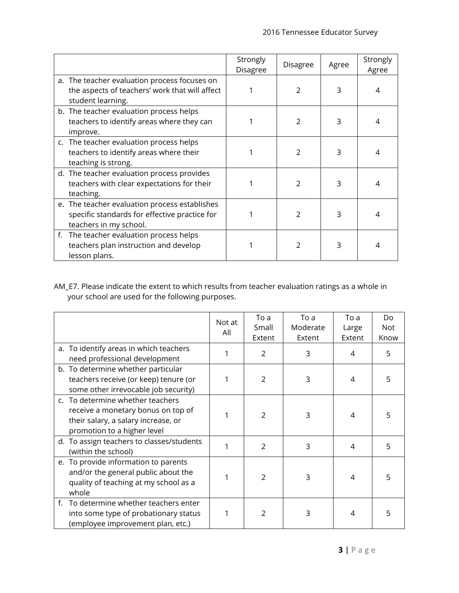|                                                                                                                          | Strongly<br><b>Disagree</b> | Disagree      | Agree | Strongly<br>Agree |
|--------------------------------------------------------------------------------------------------------------------------|-----------------------------|---------------|-------|-------------------|
| a. The teacher evaluation process focuses on<br>the aspects of teachers' work that will affect<br>student learning.      |                             |               | 3     | 4                 |
| b. The teacher evaluation process helps<br>teachers to identify areas where they can<br>improve.                         |                             | $\mathcal{P}$ |       | 4                 |
| c. The teacher evaluation process helps<br>teachers to identify areas where their<br>teaching is strong.                 |                             | $\mathcal{P}$ | 3     |                   |
| d. The teacher evaluation process provides<br>teachers with clear expectations for their<br>teaching.                    |                             | $\mathcal{P}$ | 3     |                   |
| e. The teacher evaluation process establishes<br>specific standards for effective practice for<br>teachers in my school. |                             | $\mathcal{P}$ | 3     | 4                 |
| The teacher evaluation process helps<br>f.<br>teachers plan instruction and develop<br>lesson plans.                     |                             | 2             | З     | 4                 |

AM\_E7. Please indicate the extent to which results from teacher evaluation ratings as a whole in your school are used for the following purposes.

|                                                                                                                                              | Not at<br>All | To a<br>Small<br>Extent | To a<br>Moderate<br>Extent | To a<br>Large<br>Extent | Do<br><b>Not</b><br>Know |
|----------------------------------------------------------------------------------------------------------------------------------------------|---------------|-------------------------|----------------------------|-------------------------|--------------------------|
| a. To identify areas in which teachers<br>need professional development                                                                      |               | $\overline{2}$          | 3                          | 4                       | 5                        |
| b. To determine whether particular<br>teachers receive (or keep) tenure (or<br>some other irrevocable job security)                          |               | $\overline{2}$          | 3                          | 4                       | 5                        |
| c. To determine whether teachers<br>receive a monetary bonus on top of<br>their salary, a salary increase, or<br>promotion to a higher level | 1             | $\overline{2}$          | 3                          | 4                       |                          |
| d. To assign teachers to classes/students<br>(within the school)                                                                             | 1             | $\overline{2}$          | 3                          | 4                       | 5                        |
| e. To provide information to parents<br>and/or the general public about the<br>quality of teaching at my school as a<br>whole                |               | $\overline{2}$          | 3                          | 4                       | 5                        |
| f. To determine whether teachers enter<br>into some type of probationary status<br>(employee improvement plan, etc.)                         |               | $\mathcal{P}$           | 3                          | 4                       |                          |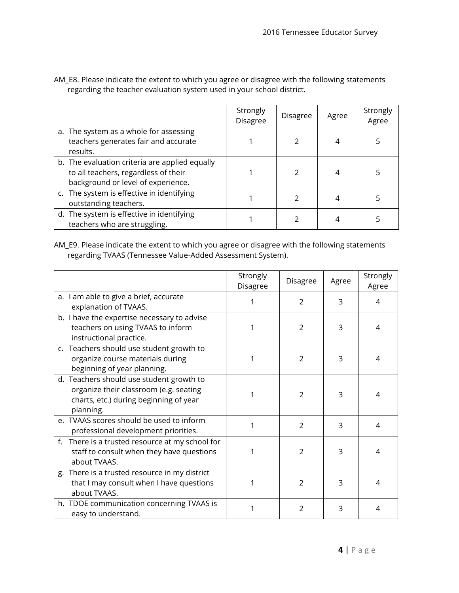|                                                                                                                              | Strongly<br><b>Disagree</b> | <b>Disagree</b> | Agree | Strongly<br>Agree |
|------------------------------------------------------------------------------------------------------------------------------|-----------------------------|-----------------|-------|-------------------|
| a. The system as a whole for assessing<br>teachers generates fair and accurate<br>results.                                   |                             |                 |       |                   |
| b. The evaluation criteria are applied equally<br>to all teachers, regardless of their<br>background or level of experience. |                             |                 |       |                   |
| c. The system is effective in identifying<br>outstanding teachers.                                                           |                             |                 |       |                   |
| d. The system is effective in identifying<br>teachers who are struggling.                                                    |                             |                 |       |                   |

AM\_E8. Please indicate the extent to which you agree or disagree with the following statements regarding the teacher evaluation system used in your school district.

AM\_E9. Please indicate the extent to which you agree or disagree with the following statements regarding TVAAS (Tennessee Value-Added Assessment System).

|                                                                                                                                           | Strongly<br>Disagree | Disagree       | Agree | Strongly<br>Agree |
|-------------------------------------------------------------------------------------------------------------------------------------------|----------------------|----------------|-------|-------------------|
| a. I am able to give a brief, accurate<br>explanation of TVAAS.                                                                           | 1                    | $\mathcal{P}$  | 3     | 4                 |
| b. I have the expertise necessary to advise<br>teachers on using TVAAS to inform<br>instructional practice.                               | 1                    | 2              | 3     | 4                 |
| c. Teachers should use student growth to<br>organize course materials during<br>beginning of year planning.                               | 1                    | 2              | 3     | 4                 |
| d. Teachers should use student growth to<br>organize their classroom (e.g. seating<br>charts, etc.) during beginning of year<br>planning. | 1                    | 2              | 3     | 4                 |
| e. TVAAS scores should be used to inform<br>professional development priorities.                                                          | 1                    | $\overline{2}$ | 3     | 4                 |
| f. There is a trusted resource at my school for<br>staff to consult when they have questions<br>about TVAAS.                              | 1                    | $\overline{2}$ | 3     | 4                 |
| g. There is a trusted resource in my district<br>that I may consult when I have questions<br>about TVAAS.                                 | 1                    | $\overline{2}$ | 3     | 4                 |
| h. TDOE communication concerning TVAAS is<br>easy to understand.                                                                          |                      | $\mathcal{P}$  | 3     | 4                 |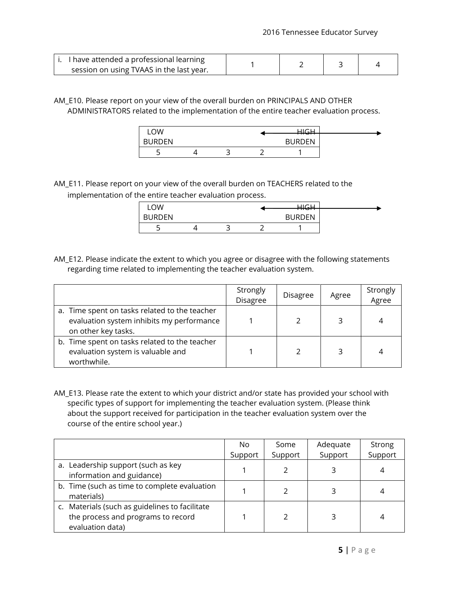| i. I have attended a professional learning |  |  |
|--------------------------------------------|--|--|
| session on using TVAAS in the last year.   |  |  |

AM\_E10. Please report on your view of the overall burden on PRINCIPALS AND OTHER ADMINISTRATORS related to the implementation of the entire teacher evaluation process.

| LOW           |  | コにロ           |  |
|---------------|--|---------------|--|
| <b>BURDEN</b> |  | <b>BURDEN</b> |  |
|               |  |               |  |

AM\_E11. Please report on your view of the overall burden on TEACHERS related to the implementation of the entire teacher evaluation process.

| OW            |   |   | $10 \, \text{C}$ $11$<br><del>.</del> |  |
|---------------|---|---|---------------------------------------|--|
| <b>BURDEN</b> |   |   | <b>RURDEN</b>                         |  |
| ت             | ٮ | ∽ |                                       |  |

AM\_E12. Please indicate the extent to which you agree or disagree with the following statements regarding time related to implementing the teacher evaluation system.

|                                                                                                                   | Strongly<br>Disagree | <b>Disagree</b> | Agree | Strongly<br>Agree |
|-------------------------------------------------------------------------------------------------------------------|----------------------|-----------------|-------|-------------------|
| a. Time spent on tasks related to the teacher<br>evaluation system inhibits my performance<br>on other key tasks. |                      |                 |       | 4                 |
| b. Time spent on tasks related to the teacher<br>evaluation system is valuable and<br>worthwhile.                 |                      |                 |       | 4                 |

AM\_E13. Please rate the extent to which your district and/or state has provided your school with specific types of support for implementing the teacher evaluation system. (Please think about the support received for participation in the teacher evaluation system over the course of the entire school year.)

|                                                                                                          | No.     | Some    | Adequate | Strong  |
|----------------------------------------------------------------------------------------------------------|---------|---------|----------|---------|
|                                                                                                          | Support | Support | Support  | Support |
| a. Leadership support (such as key<br>information and guidance)                                          |         |         |          |         |
| b. Time (such as time to complete evaluation<br>materials)                                               |         |         |          |         |
| c. Materials (such as guidelines to facilitate<br>the process and programs to record<br>evaluation data) |         |         |          | 4       |